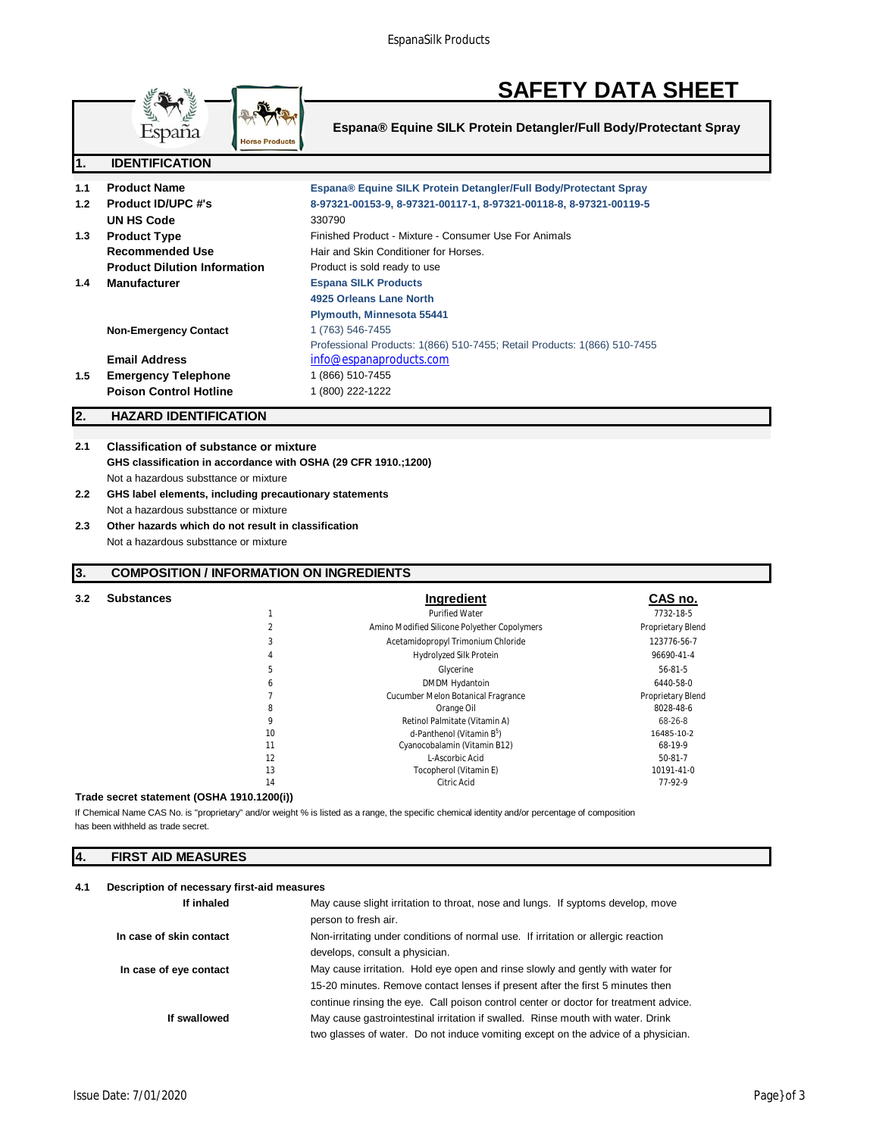

# **SAFETY DATA SHEET**

**Espana® Equine SILK Protein Detangler/Full Body/Protectant Spray**

| ш.  | <b>IDENTIFIGATION</b>               |                                                                          |
|-----|-------------------------------------|--------------------------------------------------------------------------|
|     |                                     |                                                                          |
| 1.1 | <b>Product Name</b>                 | Espana® Equine SILK Protein Detangler/Full Body/Protectant Spray         |
| 1.2 | <b>Product ID/UPC #'s</b>           | 8-97321-00153-9, 8-97321-00117-1, 8-97321-00118-8, 8-97321-00119-5       |
|     | UN HS Code                          | 330790                                                                   |
| 1.3 | <b>Product Type</b>                 | Finished Product - Mixture - Consumer Use For Animals                    |
|     | <b>Recommended Use</b>              | Hair and Skin Conditioner for Horses.                                    |
|     | <b>Product Dilution Information</b> | Product is sold ready to use                                             |
| 1.4 | <b>Manufacturer</b>                 | <b>Espana SILK Products</b>                                              |
|     |                                     | 4925 Orleans Lane North                                                  |
|     |                                     | <b>Plymouth, Minnesota 55441</b>                                         |
|     | <b>Non-Emergency Contact</b>        | 1 (763) 546-7455                                                         |
|     |                                     | Professional Products: 1(866) 510-7455; Retail Products: 1(866) 510-7455 |
|     | <b>Email Address</b>                | info@espanaproducts.com                                                  |
| 1.5 | <b>Emergency Telephone</b>          | 1 (866) 510-7455                                                         |
|     | <b>Poison Control Hotline</b>       | 1 (800) 222-1222                                                         |
|     |                                     |                                                                          |

# **2. HAZARD IDENTIFICATION**

**2.1 Classification of substance or mixture GHS classification in accordance with OSHA (29 CFR 1910.;1200)** Not a hazardous substtance or mixture

- **2.2 GHS label elements, including precautionary statements** Not a hazardous substtance or mixture
- **2.3 Other hazards which do not result in classification** Not a hazardous substtance or mixture

# **3. COMPOSITION / INFORMATION ON INGREDIENTS**

| <b>Purified Water</b><br>7732-18-5<br>Amino Modified Silicone Polyether Copolymers<br>Proprietary Blend<br>Acetamidopropyl Trimonium Chloride<br>3<br>123776-56-7<br>Hydrolyzed Silk Protein<br>96690-41-4<br>4<br>5<br>56-81-5<br>Glycerine<br>DMDM Hydantoin<br>6440-58-0<br>6<br>Cucumber Melon Botanical Fragrance<br>Proprietary Blend<br>8028-48-6<br>8<br>Orange Oil<br>9<br>Retinol Palmitate (Vitamin A)<br>68-26-8 |  |
|------------------------------------------------------------------------------------------------------------------------------------------------------------------------------------------------------------------------------------------------------------------------------------------------------------------------------------------------------------------------------------------------------------------------------|--|
|                                                                                                                                                                                                                                                                                                                                                                                                                              |  |
|                                                                                                                                                                                                                                                                                                                                                                                                                              |  |
|                                                                                                                                                                                                                                                                                                                                                                                                                              |  |
|                                                                                                                                                                                                                                                                                                                                                                                                                              |  |
|                                                                                                                                                                                                                                                                                                                                                                                                                              |  |
|                                                                                                                                                                                                                                                                                                                                                                                                                              |  |
|                                                                                                                                                                                                                                                                                                                                                                                                                              |  |
|                                                                                                                                                                                                                                                                                                                                                                                                                              |  |
|                                                                                                                                                                                                                                                                                                                                                                                                                              |  |
| 10<br>d-Panthenol (Vitamin B <sup>5</sup> )<br>16485-10-2                                                                                                                                                                                                                                                                                                                                                                    |  |
| 11<br>Cyanocobalamin (Vitamin B12)<br>68-19-9                                                                                                                                                                                                                                                                                                                                                                                |  |
| 12<br>L-Ascorbic Acid<br>$50-81-7$                                                                                                                                                                                                                                                                                                                                                                                           |  |
| 13<br>Tocopherol (Vitamin E)<br>10191-41-0                                                                                                                                                                                                                                                                                                                                                                                   |  |
| 14<br>Citric Acid<br>77-92-9                                                                                                                                                                                                                                                                                                                                                                                                 |  |

#### **Trade secret statement (OSHA 1910.1200(i))**

has been withheld as trade secret. If Chemical Name CAS No. is "proprietary" and/or weight % is listed as a range, the specific chemical identity and/or percentage of composition

### **4. FIRST AID MEASURES**

#### **4.1 Description of necessary first-aid measures**

| If inhaled              | May cause slight irritation to throat, nose and lungs. If syptoms develop, move      |
|-------------------------|--------------------------------------------------------------------------------------|
|                         | person to fresh air.                                                                 |
| In case of skin contact | Non-irritating under conditions of normal use. If irritation or allergic reaction    |
|                         | develops, consult a physician.                                                       |
| In case of eye contact  | May cause irritation. Hold eye open and rinse slowly and gently with water for       |
|                         | 15-20 minutes. Remove contact lenses if present after the first 5 minutes then       |
|                         | continue rinsing the eye. Call poison control center or doctor for treatment advice. |
| If swallowed            | May cause gastrointestinal irritation if swalled. Rinse mouth with water. Drink      |
|                         | two glasses of water. Do not induce vomiting except on the advice of a physician.    |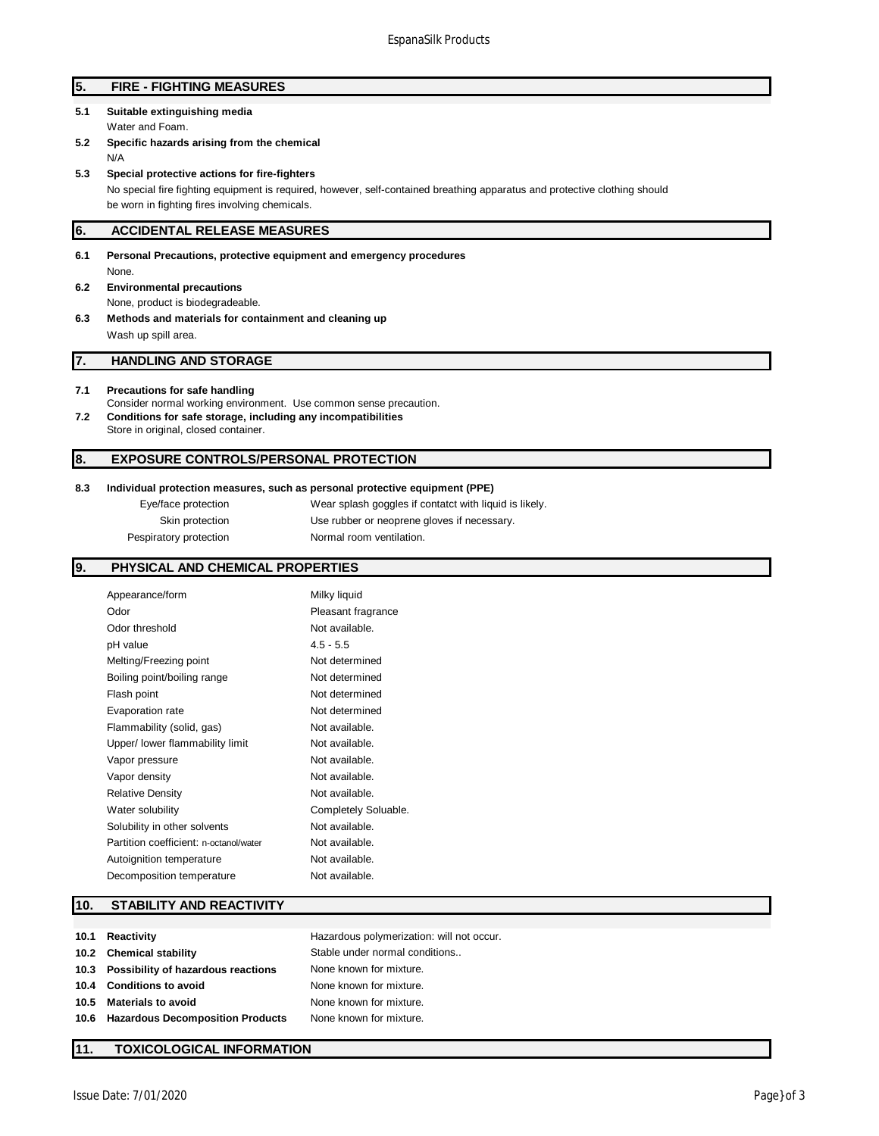# **5. FIRE - FIGHTING MEASURES**

- **5.1 Suitable extinguishing media** Water and Foam.
- **5.2 Specific hazards arising from the chemical** N/A
- **5.3 Special protective actions for fire-fighters**

No special fire fighting equipment is required, however, self-contained breathing apparatus and protective clothing should be worn in fighting fires involving chemicals.

#### **6. ACCIDENTAL RELEASE MEASURES**

- **6.1 Personal Precautions, protective equipment and emergency procedures** None.
- **6.2 Environmental precautions** None, product is biodegradeable.
- **6.3 Methods and materials for containment and cleaning up** Wash up spill area.

# **7. HANDLING AND STORAGE**

#### **7.1 Precautions for safe handling**

- Consider normal working environment. Use common sense precaution. **7.2 Conditions for safe storage, including any incompatibilities**
- Store in original, closed container.

# **8. EXPOSURE CONTROLS/PERSONAL PROTECTION**

#### **8.3 Individual protection measures, such as personal protective equipment (PPE)**

Eye/face protection Wear splash goggles if contatct with liquid is likely. Skin protection Use rubber or neoprene gloves if necessary. Pespiratory protection Normal room ventilation.

#### **9. PHYSICAL AND CHEMICAL PROPERTIES**

| Appearance/form                        | Milky liquid         |
|----------------------------------------|----------------------|
| Odor                                   | Pleasant fragrance   |
| Odor threshold                         | Not available.       |
| pH value                               | $4.5 - 5.5$          |
| Melting/Freezing point                 | Not determined       |
| Boiling point/boiling range            | Not determined       |
| Flash point                            | Not determined       |
| Evaporation rate                       | Not determined       |
| Flammability (solid, gas)              | Not available.       |
| Upper/ lower flammability limit        | Not available.       |
| Vapor pressure                         | Not available.       |
| Vapor density                          | Not available.       |
| <b>Relative Density</b>                | Not available.       |
| Water solubility                       | Completely Soluable. |
| Solubility in other solvents           | Not available.       |
| Partition coefficient: n-octanol/water | Not available.       |
| Autoignition temperature               | Not available.       |
| Decomposition temperature              | Not available.       |

#### **10. STABILITY AND REACTIVITY**

| 10.1 Reactivity                         | Hazardous polymerization: will not occur. |
|-----------------------------------------|-------------------------------------------|
| 10.2 Chemical stability                 | Stable under normal conditions            |
| 10.3 Possibility of hazardous reactions | None known for mixture.                   |
| 10.4 Conditions to avoid                | None known for mixture.                   |
| 10.5 Materials to avoid                 | None known for mixture.                   |
| 10.6 Hazardous Decomposition Products   | None known for mixture.                   |
|                                         |                                           |

#### **11. TOXICOLOGICAL INFORMATION**